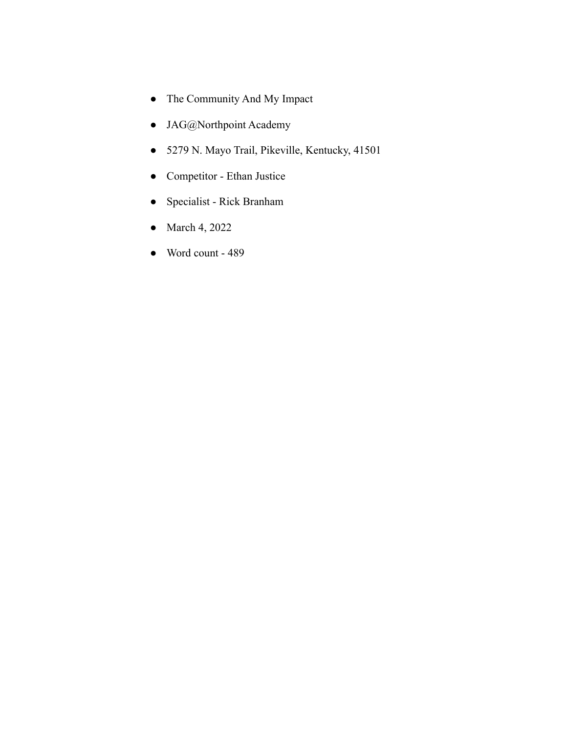- The Community And My Impact
- JAG@Northpoint Academy
- 5279 N. Mayo Trail, Pikeville, Kentucky, 41501
- Competitor Ethan Justice
- Specialist Rick Branham
- March 4, 2022
- Word count 489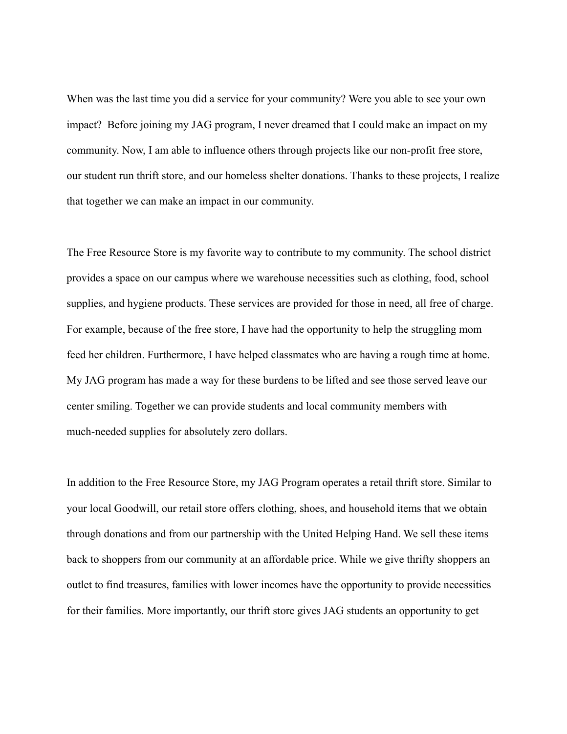When was the last time you did a service for your community? Were you able to see your own impact? Before joining my JAG program, I never dreamed that I could make an impact on my community. Now, I am able to influence others through projects like our non-profit free store, our student run thrift store, and our homeless shelter donations. Thanks to these projects, I realize that together we can make an impact in our community.

The Free Resource Store is my favorite way to contribute to my community. The school district provides a space on our campus where we warehouse necessities such as clothing, food, school supplies, and hygiene products. These services are provided for those in need, all free of charge. For example, because of the free store, I have had the opportunity to help the struggling mom feed her children. Furthermore, I have helped classmates who are having a rough time at home. My JAG program has made a way for these burdens to be lifted and see those served leave our center smiling. Together we can provide students and local community members with much-needed supplies for absolutely zero dollars.

In addition to the Free Resource Store, my JAG Program operates a retail thrift store. Similar to your local Goodwill, our retail store offers clothing, shoes, and household items that we obtain through donations and from our partnership with the United Helping Hand. We sell these items back to shoppers from our community at an affordable price. While we give thrifty shoppers an outlet to find treasures, families with lower incomes have the opportunity to provide necessities for their families. More importantly, our thrift store gives JAG students an opportunity to get